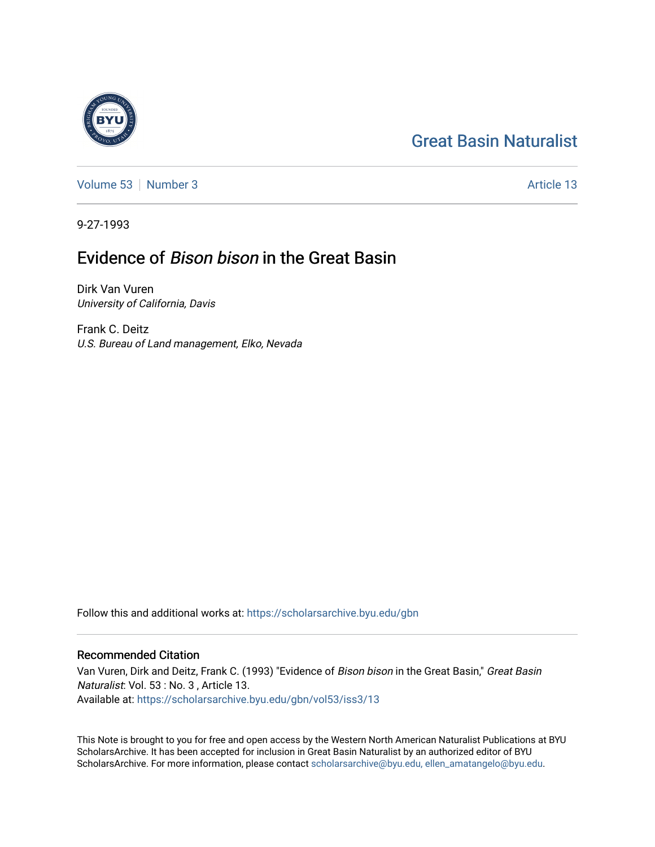### [Great Basin Naturalist](https://scholarsarchive.byu.edu/gbn)

[Volume 53](https://scholarsarchive.byu.edu/gbn/vol53) [Number 3](https://scholarsarchive.byu.edu/gbn/vol53/iss3) Article 13

9-27-1993

#### Evidence of Bison bison in the Great Basin

Dirk Van Vuren University of California, Davis

Frank C. Deitz U.S. Bureau of Land management, Elko, Nevada

Follow this and additional works at: [https://scholarsarchive.byu.edu/gbn](https://scholarsarchive.byu.edu/gbn?utm_source=scholarsarchive.byu.edu%2Fgbn%2Fvol53%2Fiss3%2F13&utm_medium=PDF&utm_campaign=PDFCoverPages) 

#### Recommended Citation

Van Vuren, Dirk and Deitz, Frank C. (1993) "Evidence of Bison bison in the Great Basin," Great Basin Naturalist: Vol. 53 : No. 3 , Article 13. Available at: [https://scholarsarchive.byu.edu/gbn/vol53/iss3/13](https://scholarsarchive.byu.edu/gbn/vol53/iss3/13?utm_source=scholarsarchive.byu.edu%2Fgbn%2Fvol53%2Fiss3%2F13&utm_medium=PDF&utm_campaign=PDFCoverPages) 

This Note is brought to you for free and open access by the Western North American Naturalist Publications at BYU ScholarsArchive. It has been accepted for inclusion in Great Basin Naturalist by an authorized editor of BYU ScholarsArchive. For more information, please contact [scholarsarchive@byu.edu, ellen\\_amatangelo@byu.edu.](mailto:scholarsarchive@byu.edu,%20ellen_amatangelo@byu.edu)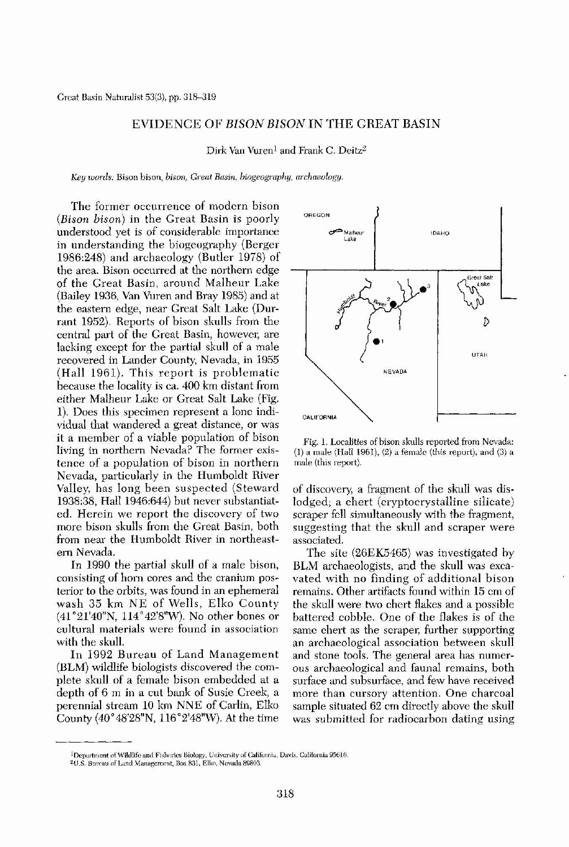Great Basin Naturalist 53(3), pp. 318-319

# EVIDENCE OF *BISON BISON* IN THE GREAT BASIN

Dirk Van Vuren<sup>1</sup> and Frank C. Deitz<sup>2</sup>

*Key words:* Bison bison, *bison, Great Basin, biogeography, archaeology.* 

The former occurrence of modern bison *(Bison bison)* in the Great Basin is poorly understood yet is of considerable importance in understanding the biogeography (Berger 1986:248) and arcbaeology (Butler 1978) of the area. Bison occurred at the northern edge of the Great Basin, around Malheur Lake (Bailey 1936, Van Vuren and Bray 1985) and at the eastern edge, near Great Salt Lake (Durrant 1952). Reports of bison skulls from the central part of the Great Basin, however, are lacking except for tbe partial skull of a male recovered in Lander County, Nevada, in 1955 (Hall 1961). This report is problematic because the locality is ca. 400 km distant from either Malheur Lake or Great Salt Lake (Fig. 1). Does this specimen represent a lone individual that wandered a great distance, or was it a member of a viable population of bison living in northern Nevada? The former existence of a population of bison in northern Nevada, particularly in the Humboldt River Valley, has long been suspected (Steward 1938:38, Hall 1946:644) but never substantiated. Herein we report the discovery of two more bison skulls from the Great Basin, both from near the Humboldt River in northeastern Nevada. In 1990 the partial skull of a male bison, consisting of horn cores and the cranium posterior to the orbits, was found in an ephemeral wash 35 km NE of Wells, Elko County  $(41°21'40''N, 114°42'8''W)$ . No other bones or cultural materials were found in association with the skull. In 1992 Bureau of Land Management (BLM) wildlife biologists discovered the complete skull of a female bison embedded at a depth of 6 m in a cut bank of Susie Creek, a perennial stream 10 km NNE of Carlin, Elko County  $(40°48'28"N, 116°2'48"W)$ . At the time



Fig. 1. Localities of bison skulls reported from Nevada:  $(1)$  a male (Hall 1961),  $(2)$  a female (this report), and  $(3)$  a male (this report).

of discovery, a fragment of the skull was dislodged; a chert (cryptocrystalline silicate) scraper fell simultaneously with the fragment, suggesting that the skull and scraper were associated.

The site (26EK5465) was investigated by BLM archaeologists, and the skull was excavated with no finding of additional bison remains. Other artifacts found within 15 cm of the skull were two chert flakes and a possible battered cobble. One of the flakes is of the same chert as the scraper, further supporting an archaeological association between skull and stone tools. The general area has numerous archaeological and faunal remains, both surface and subsurface, and few have received more than cursory attention. One charcoal sample situated 62 em directly above the skull was submitted for radiocarbon dating using

<sup>2</sup>U.S. Bureau of Land Management, Box 831, Elko, Nevada 89803.



<sup>&</sup>lt;sup>I</sup>Department of Wildlife and Fisherics Biology, University of California, Davis, California 95616.